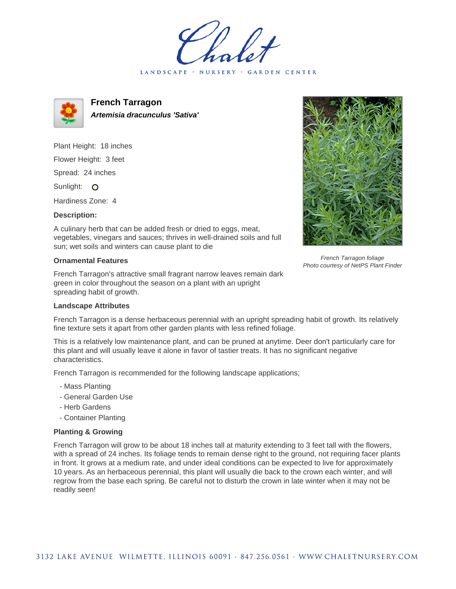LANDSCAPE · NURSERY · GARDEN CENTER



**French Tarragon Artemisia dracunculus 'Sativa'**

Plant Height: 18 inches

Flower Height: 3 feet

Spread: 24 inches

Sunlight: O

Hardiness Zone: 4

## **Description:**

A culinary herb that can be added fresh or dried to eggs, meat, vegetables, vinegars and sauces; thrives in well-drained soils and full sun; wet soils and winters can cause plant to die

## **Ornamental Features**

French Tarragon's attractive small fragrant narrow leaves remain dark green in color throughout the season on a plant with an upright spreading habit of growth.

## **Landscape Attributes**



French Tarragon foliage Photo courtesy of NetPS Plant Finder

French Tarragon is a dense herbaceous perennial with an upright spreading habit of growth. Its relatively fine texture sets it apart from other garden plants with less refined foliage.

This is a relatively low maintenance plant, and can be pruned at anytime. Deer don't particularly care for this plant and will usually leave it alone in favor of tastier treats. It has no significant negative characteristics.

French Tarragon is recommended for the following landscape applications;

- Mass Planting
- General Garden Use
- Herb Gardens
- Container Planting

## **Planting & Growing**

French Tarragon will grow to be about 18 inches tall at maturity extending to 3 feet tall with the flowers, with a spread of 24 inches. Its foliage tends to remain dense right to the ground, not requiring facer plants in front. It grows at a medium rate, and under ideal conditions can be expected to live for approximately 10 years. As an herbaceous perennial, this plant will usually die back to the crown each winter, and will regrow from the base each spring. Be careful not to disturb the crown in late winter when it may not be readily seen!